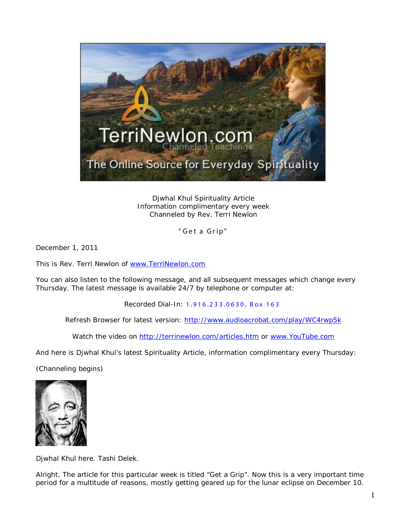

Djwhal Khul Spirituality Article Information complimentary every week Channeled by Rev. Terri Newlon

" Get a Grip"

December 1, 2011

This is Rev. Terri Newlon of [www.TerriNewlon.com](http://www.terrinewlon.com/)

You can also listen to the following message, and all subsequent messages which change every Thursday. The latest message is available 24/7 by telephone or computer at:

Recorded Dial-In: 1.916.233.0630, Box 163

Refresh Browser for latest version: <http://www.audioacrobat.com/play/WC4rwp5k>

Watch the video on<http://terrinewlon.com/articles.htm> or [www.YouTube.com](http://www.youtube.com/)

And here is Djwhal Khul's latest Spirituality Article, information complimentary every Thursday:

(Channeling begins)



Djwhal Khul here. Tashi Delek.

Alright. The article for this particular week is titled "Get a Grip". Now this is a very important time period for a multitude of reasons, mostly getting geared up for the lunar eclipse on December 10.